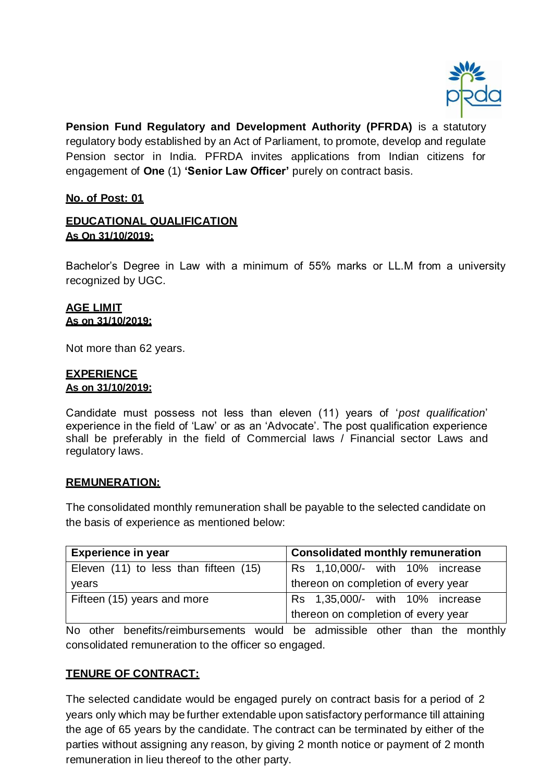

**Pension Fund Regulatory and Development Authority (PFRDA)** is a statutory regulatory body established by an Act of Parliament, to promote, develop and regulate Pension sector in India. PFRDA invites applications from Indian citizens for engagement of **One** (1) **'Senior Law Officer'** purely on contract basis.

## **No. of Post: 01**

## **EDUCATIONAL QUALIFICATION As On 31/10/2019:**

Bachelor's Degree in Law with a minimum of 55% marks or LL.M from a university recognized by UGC.

#### **AGE LIMIT As on 31/10/2019:**

Not more than 62 years.

## **EXPERIENCE**

#### **As on 31/10/2019:**

Candidate must possess not less than eleven (11) years of '*post qualification*' experience in the field of 'Law' or as an 'Advocate'. The post qualification experience shall be preferably in the field of Commercial laws / Financial sector Laws and regulatory laws.

#### **REMUNERATION:**

The consolidated monthly remuneration shall be payable to the selected candidate on the basis of experience as mentioned below:

| <b>Experience in year</b>             | <b>Consolidated monthly remuneration</b> |  |  |  |  |  |  |  |  |
|---------------------------------------|------------------------------------------|--|--|--|--|--|--|--|--|
| Eleven (11) to less than fifteen (15) | Rs 1,10,000/- with 10% increase          |  |  |  |  |  |  |  |  |
| years                                 | thereon on completion of every year      |  |  |  |  |  |  |  |  |
| Fifteen (15) years and more           | Rs 1,35,000/- with 10% increase          |  |  |  |  |  |  |  |  |
|                                       | thereon on completion of every year      |  |  |  |  |  |  |  |  |

No other benefits/reimbursements would be admissible other than the monthly consolidated remuneration to the officer so engaged.

## **TENURE OF CONTRACT:**

The selected candidate would be engaged purely on contract basis for a period of 2 years only which may be further extendable upon satisfactory performance till attaining the age of 65 years by the candidate. The contract can be terminated by either of the parties without assigning any reason, by giving 2 month notice or payment of 2 month remuneration in lieu thereof to the other party.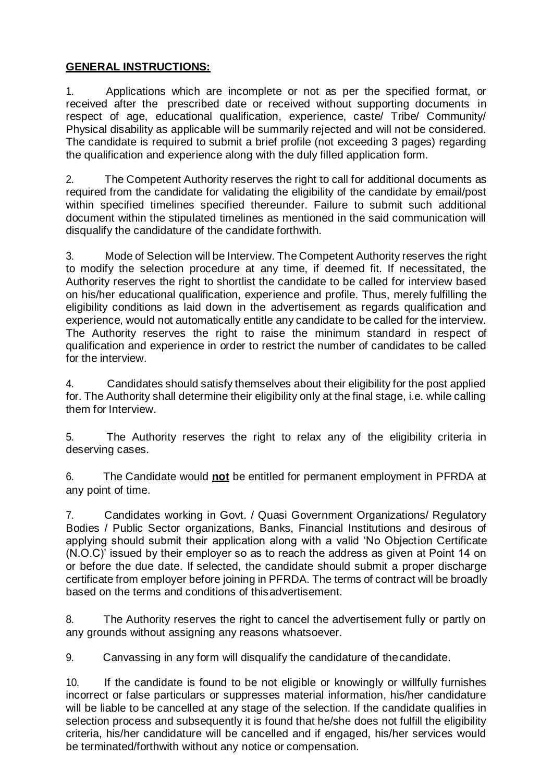# **GENERAL INSTRUCTIONS:**

1. Applications which are incomplete or not as per the specified format, or received after the prescribed date or received without supporting documents in respect of age, educational qualification, experience, caste/ Tribe/ Community/ Physical disability as applicable will be summarily rejected and will not be considered. The candidate is required to submit a brief profile (not exceeding 3 pages) regarding the qualification and experience along with the duly filled application form.

2. The Competent Authority reserves the right to call for additional documents as required from the candidate for validating the eligibility of the candidate by email/post within specified timelines specified thereunder. Failure to submit such additional document within the stipulated timelines as mentioned in the said communication will disqualify the candidature of the candidate forthwith.

3. Mode of Selection will be Interview. The Competent Authority reserves the right to modify the selection procedure at any time, if deemed fit. If necessitated, the Authority reserves the right to shortlist the candidate to be called for interview based on his/her educational qualification, experience and profile. Thus, merely fulfilling the eligibility conditions as laid down in the advertisement as regards qualification and experience, would not automatically entitle any candidate to be called for the interview. The Authority reserves the right to raise the minimum standard in respect of qualification and experience in order to restrict the number of candidates to be called for the interview.

4. Candidates should satisfy themselves about their eligibility for the post applied for. The Authority shall determine their eligibility only at the final stage, i.e. while calling them for Interview.

5. The Authority reserves the right to relax any of the eligibility criteria in deserving cases.

6. The Candidate would **not** be entitled for permanent employment in PFRDA at any point of time.

7. Candidates working in Govt. / Quasi Government Organizations/ Regulatory Bodies / Public Sector organizations, Banks, Financial Institutions and desirous of applying should submit their application along with a valid 'No Objection Certificate (N.O.C)' issued by their employer so as to reach the address as given at Point 14 on or before the due date. If selected, the candidate should submit a proper discharge certificate from employer before joining in PFRDA. The terms of contract will be broadly based on the terms and conditions of thisadvertisement.

8. The Authority reserves the right to cancel the advertisement fully or partly on any grounds without assigning any reasons whatsoever.

9. Canvassing in any form will disqualify the candidature of thecandidate.

10. If the candidate is found to be not eligible or knowingly or willfully furnishes incorrect or false particulars or suppresses material information, his/her candidature will be liable to be cancelled at any stage of the selection. If the candidate qualifies in selection process and subsequently it is found that he/she does not fulfill the eligibility criteria, his/her candidature will be cancelled and if engaged, his/her services would be terminated/forthwith without any notice or compensation.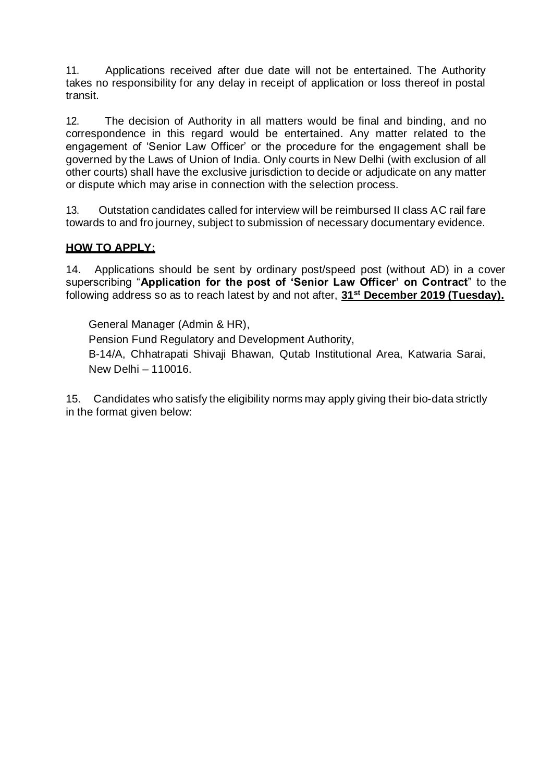11. Applications received after due date will not be entertained. The Authority takes no responsibility for any delay in receipt of application or loss thereof in postal transit.

12. The decision of Authority in all matters would be final and binding, and no correspondence in this regard would be entertained. Any matter related to the engagement of 'Senior Law Officer' or the procedure for the engagement shall be governed by the Laws of Union of India. Only courts in New Delhi (with exclusion of all other courts) shall have the exclusive jurisdiction to decide or adjudicate on any matter or dispute which may arise in connection with the selection process.

13. Outstation candidates called for interview will be reimbursed II class AC rail fare towards to and fro journey, subject to submission of necessary documentary evidence.

# **HOW TO APPLY:**

14. Applications should be sent by ordinary post/speed post (without AD) in a cover superscribing "**Application for the post of 'Senior Law Officer' on Contract**" to the following address so as to reach latest by and not after, **31st December 2019 (Tuesday).**

General Manager (Admin & HR), Pension Fund Regulatory and Development Authority, B-14/A, Chhatrapati Shivaji Bhawan, Qutab Institutional Area, Katwaria Sarai, New Delhi – 110016.

15. Candidates who satisfy the eligibility norms may apply giving their bio-data strictly in the format given below: